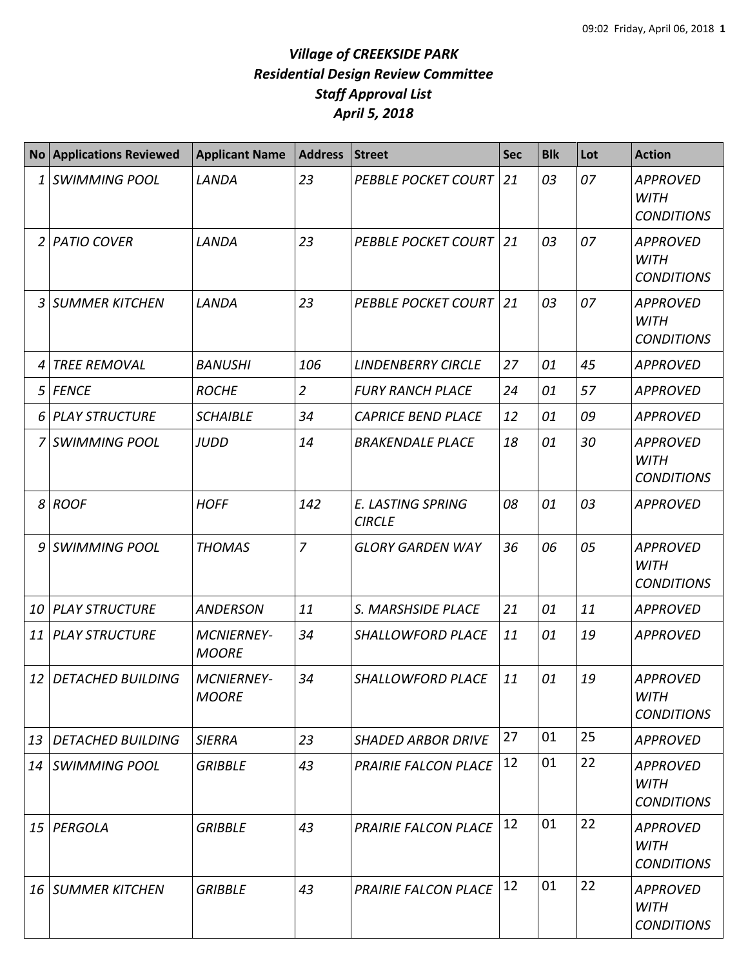|                 | No Applications Reviewed | <b>Applicant Name</b>             | <b>Address</b> | <b>Street</b>                             | <b>Sec</b> | <b>Blk</b> | Lot | <b>Action</b>                                       |
|-----------------|--------------------------|-----------------------------------|----------------|-------------------------------------------|------------|------------|-----|-----------------------------------------------------|
| $1\vert$        | <b>SWIMMING POOL</b>     | LANDA                             | 23             | <b>PEBBLE POCKET COURT 21</b>             |            | 03         | 07  | <b>APPROVED</b><br><b>WITH</b><br><b>CONDITIONS</b> |
|                 | 2 PATIO COVER            | LANDA                             | 23             | <b>PEBBLE POCKET COURT 21</b>             |            | 03         | 07  | <b>APPROVED</b><br><b>WITH</b><br><b>CONDITIONS</b> |
| $\overline{3}$  | <b>SUMMER KITCHEN</b>    | LANDA                             | 23             | <b>PEBBLE POCKET COURT 21</b>             |            | 03         | 07  | <b>APPROVED</b><br><b>WITH</b><br><b>CONDITIONS</b> |
| 4               | <b>TREE REMOVAL</b>      | <b>BANUSHI</b>                    | 106            | <b>LINDENBERRY CIRCLE</b>                 | 27         | 01         | 45  | <b>APPROVED</b>                                     |
|                 | 5 FENCE                  | <b>ROCHE</b>                      | $\overline{2}$ | <b>FURY RANCH PLACE</b>                   | 24         | 01         | 57  | <b>APPROVED</b>                                     |
|                 | 6 PLAY STRUCTURE         | <b>SCHAIBLE</b>                   | 34             | <b>CAPRICE BEND PLACE</b>                 | 12         | 01         | 09  | <b>APPROVED</b>                                     |
|                 | 7 SWIMMING POOL          | <b>JUDD</b>                       | 14             | <b>BRAKENDALE PLACE</b>                   | 18         | 01         | 30  | <b>APPROVED</b><br><b>WITH</b><br><b>CONDITIONS</b> |
|                 | 8 ROOF                   | <b>HOFF</b>                       | 142            | <b>E. LASTING SPRING</b><br><b>CIRCLE</b> | 08         | 01         | 03  | <b>APPROVED</b>                                     |
|                 | 9 SWIMMING POOL          | <b>THOMAS</b>                     | $\overline{7}$ | <b>GLORY GARDEN WAY</b>                   | 36         | 06         | 05  | <b>APPROVED</b><br><b>WITH</b><br><b>CONDITIONS</b> |
| 10              | <b>PLAY STRUCTURE</b>    | <b>ANDERSON</b>                   | 11             | S. MARSHSIDE PLACE                        | 21         | 01         | 11  | <b>APPROVED</b>                                     |
| 11 <sup>1</sup> | <b>PLAY STRUCTURE</b>    | <b>MCNIERNEY-</b><br><b>MOORE</b> | 34             | <b>SHALLOWFORD PLACE</b>                  | 11         | 01         | 19  | <b>APPROVED</b>                                     |
| 12 <sup>1</sup> | <b>DETACHED BUILDING</b> | <b>MCNIERNEY-</b><br><b>MOORE</b> | 34             | <b>SHALLOWFORD PLACE</b>                  | 11         | 01         | 19  | <b>APPROVED</b><br><b>WITH</b><br><b>CONDITIONS</b> |
| 13              | <b>DETACHED BUILDING</b> | <b>SIERRA</b>                     | 23             | <b>SHADED ARBOR DRIVE</b>                 | 27         | 01         | 25  | <b>APPROVED</b>                                     |
| 14              | <b>SWIMMING POOL</b>     | <b>GRIBBLE</b>                    | 43             | <b>PRAIRIE FALCON PLACE</b>               | 12         | 01         | 22  | <b>APPROVED</b><br><b>WITH</b><br><b>CONDITIONS</b> |
| 15 <sup>1</sup> | PERGOLA                  | <b>GRIBBLE</b>                    | 43             | PRAIRIE FALCON PLACE                      | 12         | 01         | 22  | <b>APPROVED</b><br>WITH<br><b>CONDITIONS</b>        |
|                 | <b>16 SUMMER KITCHEN</b> | <b>GRIBBLE</b>                    | 43             | <b>PRAIRIE FALCON PLACE</b>               | 12         | 01         | 22  | <b>APPROVED</b><br><b>WITH</b><br><b>CONDITIONS</b> |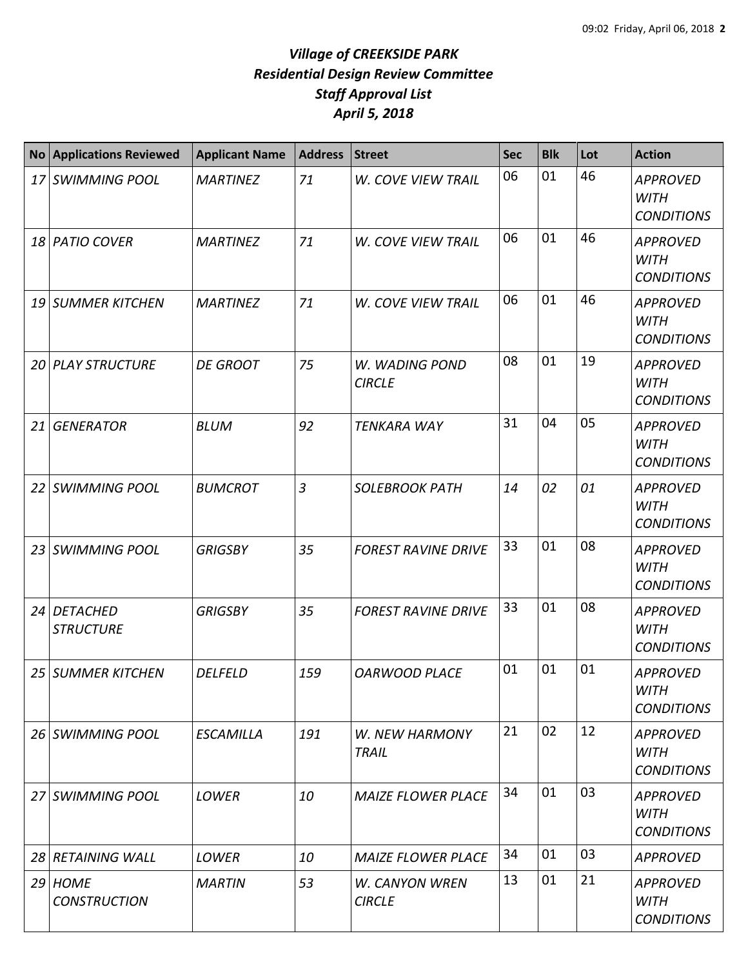| <b>No</b> | <b>Applications Reviewed</b>     | <b>Applicant Name</b> | <b>Address</b> | <b>Street</b>                   | <b>Sec</b> | <b>Blk</b> | Lot | <b>Action</b>                                       |
|-----------|----------------------------------|-----------------------|----------------|---------------------------------|------------|------------|-----|-----------------------------------------------------|
|           | 17 SWIMMING POOL                 | <b>MARTINEZ</b>       | 71             | W. COVE VIEW TRAIL              | 06         | 01         | 46  | <b>APPROVED</b><br><b>WITH</b><br><b>CONDITIONS</b> |
|           | 18 PATIO COVER                   | <b>MARTINEZ</b>       | 71             | W. COVE VIEW TRAIL              | 06         | 01         | 46  | <b>APPROVED</b><br><b>WITH</b><br><b>CONDITIONS</b> |
|           | 19 SUMMER KITCHEN                | <b>MARTINEZ</b>       | 71             | <b>W. COVE VIEW TRAIL</b>       | 06         | 01         | 46  | <b>APPROVED</b><br><b>WITH</b><br><b>CONDITIONS</b> |
|           | <b>20 PLAY STRUCTURE</b>         | <b>DE GROOT</b>       | 75             | W. WADING POND<br><b>CIRCLE</b> | 08         | 01         | 19  | <b>APPROVED</b><br><b>WITH</b><br><b>CONDITIONS</b> |
|           | 21 GENERATOR                     | <b>BLUM</b>           | 92             | <b>TENKARA WAY</b>              | 31         | 04         | 05  | <b>APPROVED</b><br><b>WITH</b><br><b>CONDITIONS</b> |
|           | 22 SWIMMING POOL                 | <b>BUMCROT</b>        | $\overline{3}$ | <b>SOLEBROOK PATH</b>           | 14         | 02         | 01  | <b>APPROVED</b><br><b>WITH</b><br><b>CONDITIONS</b> |
|           | 23 SWIMMING POOL                 | <b>GRIGSBY</b>        | 35             | <b>FOREST RAVINE DRIVE</b>      | 33         | 01         | 08  | <b>APPROVED</b><br><b>WITH</b><br><b>CONDITIONS</b> |
|           | 24 DETACHED<br><b>STRUCTURE</b>  | <b>GRIGSBY</b>        | 35             | <b>FOREST RAVINE DRIVE</b>      | 33         | 01         | 08  | <b>APPROVED</b><br><b>WITH</b><br><b>CONDITIONS</b> |
|           | 25 SUMMER KITCHEN                | <b>DELFELD</b>        | 159            | <b>OARWOOD PLACE</b>            | 01         | 01         | 01  | <b>APPROVED</b><br><b>WITH</b><br><b>CONDITIONS</b> |
|           | 26 SWIMMING POOL                 | ESCAMILLA             | 191            | W. NEW HARMONY<br>TRAIL         | 21         | 02         | 12  | <b>APPROVED</b><br><b>WITH</b><br><b>CONDITIONS</b> |
|           | 27 SWIMMING POOL                 | <b>LOWER</b>          | 10             | <b>MAIZE FLOWER PLACE</b>       | 34         | 01         | 03  | <b>APPROVED</b><br><b>WITH</b><br><b>CONDITIONS</b> |
|           | 28 RETAINING WALL                | LOWER                 | 10             | <b>MAIZE FLOWER PLACE</b>       | 34         | 01         | 03  | <b>APPROVED</b>                                     |
|           | $29$ HOME<br><b>CONSTRUCTION</b> | <b>MARTIN</b>         | 53             | W. CANYON WREN<br><b>CIRCLE</b> | 13         | 01         | 21  | APPROVED<br><b>WITH</b><br><b>CONDITIONS</b>        |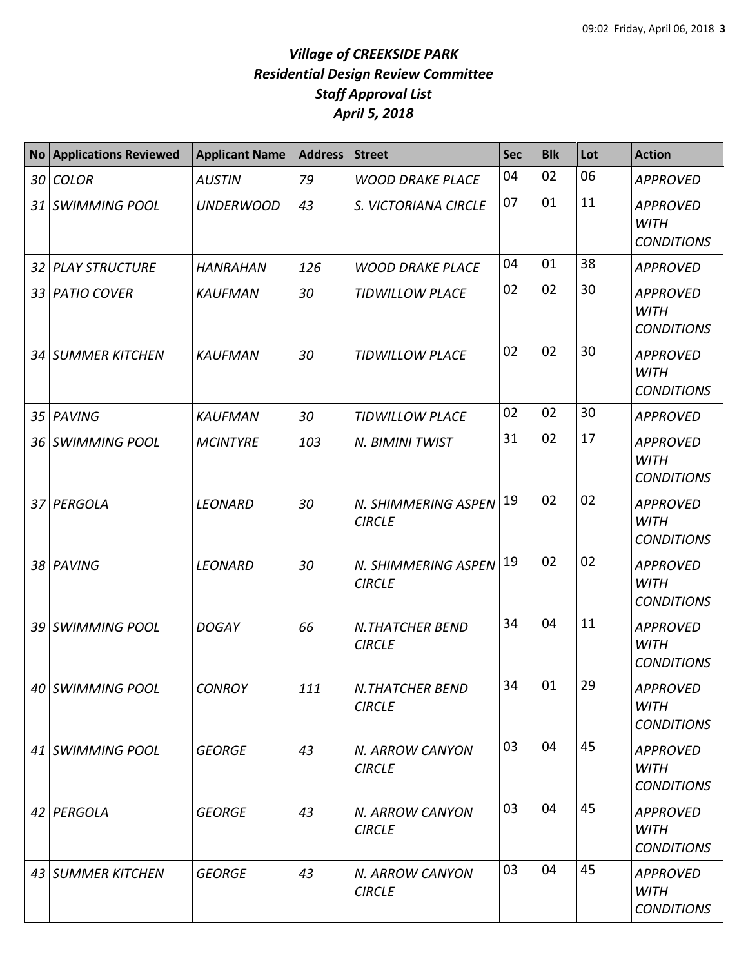| <b>No</b>       | <b>Applications Reviewed</b> | <b>Applicant Name</b> | <b>Address</b> | <b>Street</b>                           | <b>Sec</b> | <b>Blk</b> | Lot | <b>Action</b>                                       |
|-----------------|------------------------------|-----------------------|----------------|-----------------------------------------|------------|------------|-----|-----------------------------------------------------|
| 30              | <b>COLOR</b>                 | <b>AUSTIN</b>         | 79             | <b>WOOD DRAKE PLACE</b>                 | 04         | 02         | 06  | <b>APPROVED</b>                                     |
| 31 I            | <b>SWIMMING POOL</b>         | <b>UNDERWOOD</b>      | 43             | S. VICTORIANA CIRCLE                    | 07         | 01         | 11  | <b>APPROVED</b><br><b>WITH</b><br><b>CONDITIONS</b> |
| 32              | <b>PLAY STRUCTURE</b>        | <b>HANRAHAN</b>       | 126            | <b>WOOD DRAKE PLACE</b>                 | 04         | 01         | 38  | <b>APPROVED</b>                                     |
| 33              | <b>PATIO COVER</b>           | <b>KAUFMAN</b>        | 30             | <b>TIDWILLOW PLACE</b>                  | 02         | 02         | 30  | <b>APPROVED</b><br><b>WITH</b><br><b>CONDITIONS</b> |
| 34              | <b>SUMMER KITCHEN</b>        | <b>KAUFMAN</b>        | 30             | <b>TIDWILLOW PLACE</b>                  | 02         | 02         | 30  | <b>APPROVED</b><br><b>WITH</b><br><b>CONDITIONS</b> |
| 35 <sup>5</sup> | PAVING                       | <b>KAUFMAN</b>        | 30             | <b>TIDWILLOW PLACE</b>                  | 02         | 02         | 30  | <b>APPROVED</b>                                     |
| 36              | <b>SWIMMING POOL</b>         | <b>MCINTYRE</b>       | 103            | N. BIMINI TWIST                         | 31         | 02         | 17  | <b>APPROVED</b><br><b>WITH</b><br><b>CONDITIONS</b> |
| 37 I            | PERGOLA                      | <b>LEONARD</b>        | 30             | N. SHIMMERING ASPEN<br><b>CIRCLE</b>    | 19         | 02         | 02  | <b>APPROVED</b><br><b>WITH</b><br><b>CONDITIONS</b> |
| 38              | PAVING                       | <b>LEONARD</b>        | 30             | N. SHIMMERING ASPEN<br><b>CIRCLE</b>    | 19         | 02         | 02  | <b>APPROVED</b><br><b>WITH</b><br><b>CONDITIONS</b> |
| 39              | <b>SWIMMING POOL</b>         | <b>DOGAY</b>          | 66             | <b>N.THATCHER BEND</b><br><b>CIRCLE</b> | 34         | 04         | 11  | <b>APPROVED</b><br><b>WITH</b><br><b>CONDITIONS</b> |
|                 | 40 SWIMMING POOL             | <b>CONROY</b>         | 111            | <b>N.THATCHER BEND</b><br><b>CIRCLE</b> | 34         | 01         | 29  | <b>APPROVED</b><br><b>WITH</b><br><b>CONDITIONS</b> |
|                 | 41 SWIMMING POOL             | <b>GEORGE</b>         | 43             | N. ARROW CANYON<br><b>CIRCLE</b>        | 03         | 04         | 45  | <b>APPROVED</b><br><b>WITH</b><br><b>CONDITIONS</b> |
|                 | 42 PERGOLA                   | <b>GEORGE</b>         | 43             | N. ARROW CANYON<br><b>CIRCLE</b>        | 03         | 04         | 45  | <b>APPROVED</b><br><b>WITH</b><br><b>CONDITIONS</b> |
|                 | 43 SUMMER KITCHEN            | <b>GEORGE</b>         | 43             | N. ARROW CANYON<br><b>CIRCLE</b>        | 03         | 04         | 45  | <b>APPROVED</b><br><b>WITH</b><br><b>CONDITIONS</b> |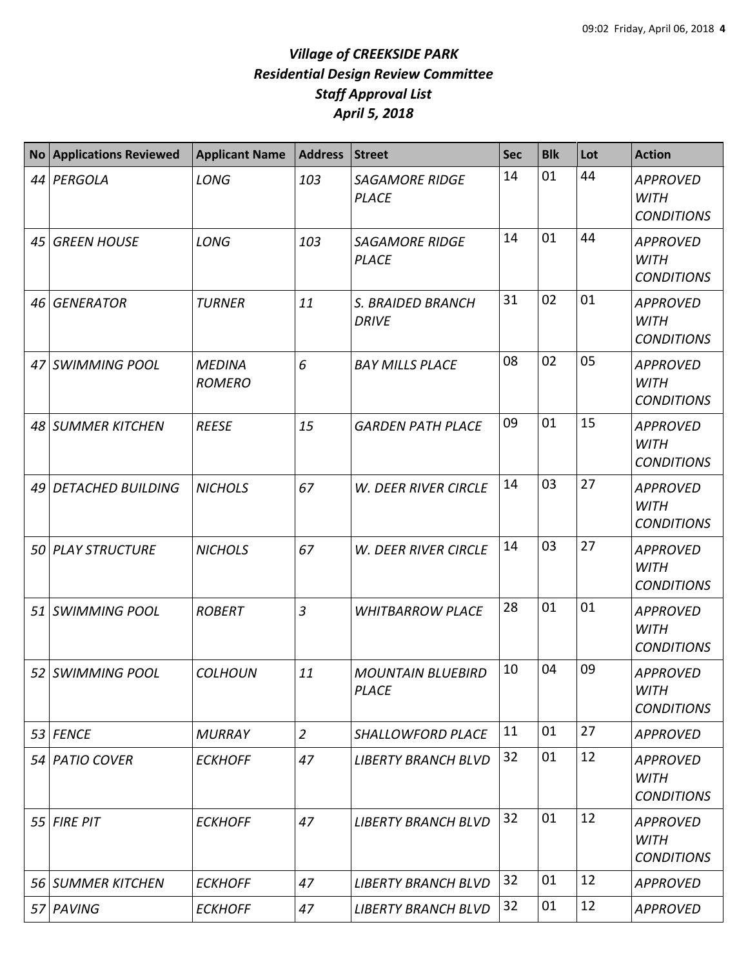| <b>No</b> | <b>Applications Reviewed</b> | <b>Applicant Name</b>          | <b>Address</b> | <b>Street</b>                            | <b>Sec</b> | <b>Blk</b> | Lot | <b>Action</b>                                       |
|-----------|------------------------------|--------------------------------|----------------|------------------------------------------|------------|------------|-----|-----------------------------------------------------|
|           | 44 PERGOLA                   | <b>LONG</b>                    | 103            | <b>SAGAMORE RIDGE</b><br><b>PLACE</b>    | 14         | 01         | 44  | <b>APPROVED</b><br><b>WITH</b><br><b>CONDITIONS</b> |
| 45        | <b>GREEN HOUSE</b>           | LONG                           | 103            | <b>SAGAMORE RIDGE</b><br><b>PLACE</b>    | 14         | 01         | 44  | <b>APPROVED</b><br><b>WITH</b><br><b>CONDITIONS</b> |
| 46        | <b>GENERATOR</b>             | <b>TURNER</b>                  | 11             | S. BRAIDED BRANCH<br><b>DRIVE</b>        | 31         | 02         | 01  | <b>APPROVED</b><br><b>WITH</b><br><b>CONDITIONS</b> |
|           | 47 SWIMMING POOL             | <b>MEDINA</b><br><b>ROMERO</b> | 6              | <b>BAY MILLS PLACE</b>                   | 08         | 02         | 05  | <b>APPROVED</b><br><b>WITH</b><br><b>CONDITIONS</b> |
|           | 48 SUMMER KITCHEN            | <b>REESE</b>                   | 15             | <b>GARDEN PATH PLACE</b>                 | 09         | 01         | 15  | <b>APPROVED</b><br><b>WITH</b><br><b>CONDITIONS</b> |
| 49        | <b>DETACHED BUILDING</b>     | <b>NICHOLS</b>                 | 67             | <b>W. DEER RIVER CIRCLE</b>              | 14         | 03         | 27  | <b>APPROVED</b><br><b>WITH</b><br><b>CONDITIONS</b> |
|           | 50 PLAY STRUCTURE            | <b>NICHOLS</b>                 | 67             | W. DEER RIVER CIRCLE                     | 14         | 03         | 27  | <b>APPROVED</b><br><b>WITH</b><br><b>CONDITIONS</b> |
| 51        | <b>SWIMMING POOL</b>         | <b>ROBERT</b>                  | 3              | <b>WHITBARROW PLACE</b>                  | 28         | 01         | 01  | <b>APPROVED</b><br><b>WITH</b><br><b>CONDITIONS</b> |
|           | 52 SWIMMING POOL             | <b>COLHOUN</b>                 | 11             | <b>MOUNTAIN BLUEBIRD</b><br><b>PLACE</b> | 10         | 04         | 09  | <b>APPROVED</b><br><b>WITH</b><br><b>CONDITIONS</b> |
|           | 53 FENCE                     | <b>MURRAY</b>                  | $\overline{2}$ | SHALLOWFORD PLACE                        | 11         | 01         | 27  | <b>APPROVED</b>                                     |
|           | 54 PATIO COVER               | <b>ECKHOFF</b>                 | 47             | <b>LIBERTY BRANCH BLVD</b>               | 32         | 01         | 12  | <b>APPROVED</b><br><b>WITH</b><br><b>CONDITIONS</b> |
| 55 I      | <b>FIRE PIT</b>              | <b>ECKHOFF</b>                 | 47             | <b>LIBERTY BRANCH BLVD</b>               | 32         | 01         | 12  | <b>APPROVED</b><br><b>WITH</b><br><b>CONDITIONS</b> |
|           | 56 SUMMER KITCHEN            | <b>ECKHOFF</b>                 | 47             | <b>LIBERTY BRANCH BLVD</b>               | 32         | 01         | 12  | <b>APPROVED</b>                                     |
|           | 57 PAVING                    | <b>ECKHOFF</b>                 | 47             | <b>LIBERTY BRANCH BLVD</b>               | 32         | 01         | 12  | <b>APPROVED</b>                                     |